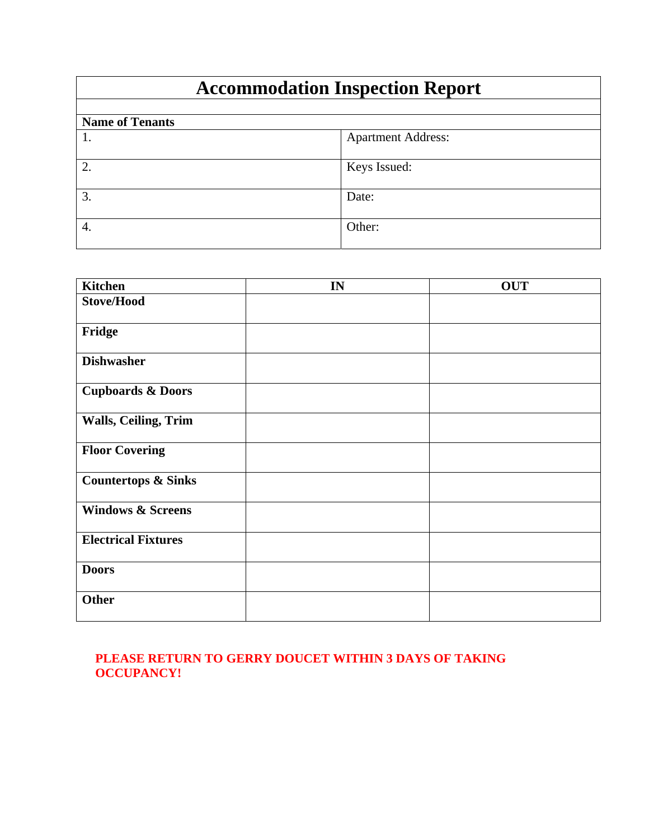## **Accommodation Inspection Report**

| <b>Name of Tenants</b> |                           |
|------------------------|---------------------------|
|                        | <b>Apartment Address:</b> |
| 2.                     | Keys Issued:              |
| 3.                     | Date:                     |
| 4.                     | Other:                    |

| <b>Kitchen</b>                 | IN | <b>OUT</b> |
|--------------------------------|----|------------|
| <b>Stove/Hood</b>              |    |            |
| Fridge                         |    |            |
| <b>Dishwasher</b>              |    |            |
| <b>Cupboards &amp; Doors</b>   |    |            |
| Walls, Ceiling, Trim           |    |            |
| <b>Floor Covering</b>          |    |            |
| <b>Countertops &amp; Sinks</b> |    |            |
| <b>Windows &amp; Screens</b>   |    |            |
| <b>Electrical Fixtures</b>     |    |            |
| <b>Doors</b>                   |    |            |
| <b>Other</b>                   |    |            |

## **PLEASE RETURN TO GERRY DOUCET WITHIN 3 DAYS OF TAKING OCCUPANCY!**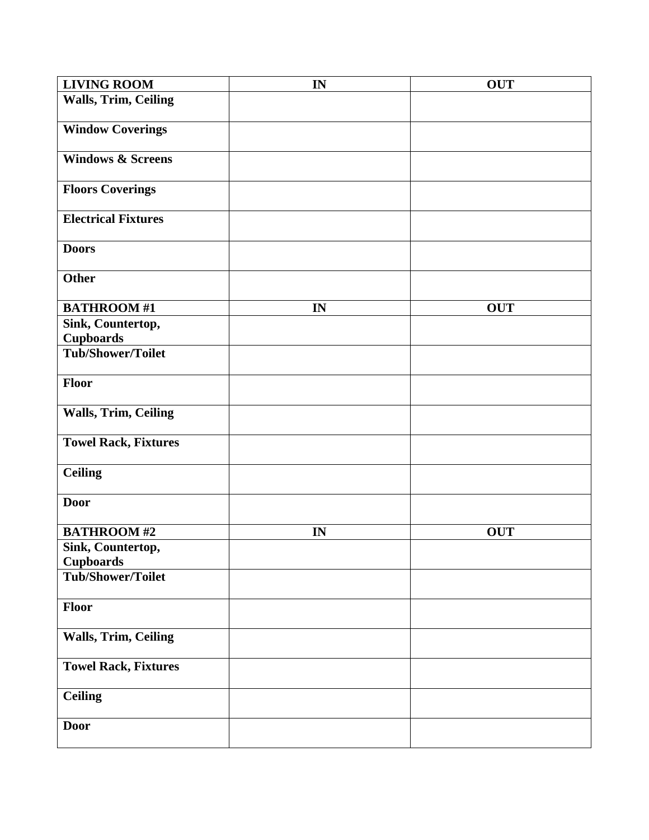| <b>LIVING ROOM</b>                    | IN | <b>OUT</b> |
|---------------------------------------|----|------------|
| <b>Walls, Trim, Ceiling</b>           |    |            |
| <b>Window Coverings</b>               |    |            |
| <b>Windows &amp; Screens</b>          |    |            |
| <b>Floors Coverings</b>               |    |            |
| <b>Electrical Fixtures</b>            |    |            |
| <b>Doors</b>                          |    |            |
| <b>Other</b>                          |    |            |
| <b>BATHROOM#1</b>                     | IN | <b>OUT</b> |
| Sink, Countertop,<br><b>Cupboards</b> |    |            |
| <b>Tub/Shower/Toilet</b>              |    |            |
| Floor                                 |    |            |
| <b>Walls, Trim, Ceiling</b>           |    |            |
| <b>Towel Rack, Fixtures</b>           |    |            |
| <b>Ceiling</b>                        |    |            |
| <b>Door</b>                           |    |            |
| <b>BATHROOM#2</b>                     | IN | <b>OUT</b> |
| Sink, Countertop,<br><b>Cupboards</b> |    |            |
| <b>Tub/Shower/Toilet</b>              |    |            |
| Floor                                 |    |            |
| <b>Walls, Trim, Ceiling</b>           |    |            |
| <b>Towel Rack, Fixtures</b>           |    |            |
| <b>Ceiling</b>                        |    |            |
| <b>Door</b>                           |    |            |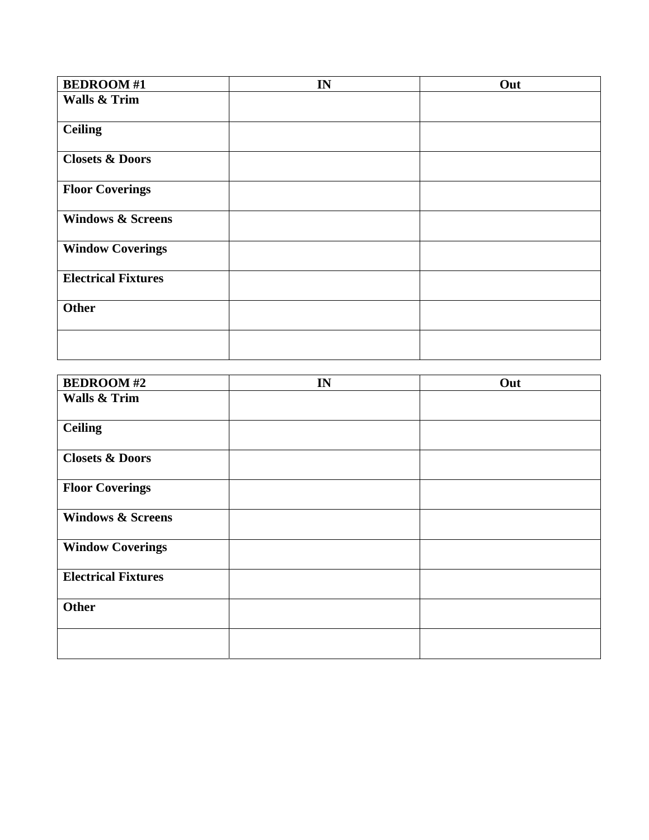| <b>BEDROOM#1</b>             | IN | Out |
|------------------------------|----|-----|
| <b>Walls &amp; Trim</b>      |    |     |
|                              |    |     |
| <b>Ceiling</b>               |    |     |
|                              |    |     |
| <b>Closets &amp; Doors</b>   |    |     |
| <b>Floor Coverings</b>       |    |     |
| <b>Windows &amp; Screens</b> |    |     |
| <b>Window Coverings</b>      |    |     |
| <b>Electrical Fixtures</b>   |    |     |
| <b>Other</b>                 |    |     |
|                              |    |     |

| <b>BEDROOM#2</b>             | IN | Out |
|------------------------------|----|-----|
| <b>Walls &amp; Trim</b>      |    |     |
| <b>Ceiling</b>               |    |     |
| <b>Closets &amp; Doors</b>   |    |     |
| <b>Floor Coverings</b>       |    |     |
| <b>Windows &amp; Screens</b> |    |     |
| <b>Window Coverings</b>      |    |     |
| <b>Electrical Fixtures</b>   |    |     |
| <b>Other</b>                 |    |     |
|                              |    |     |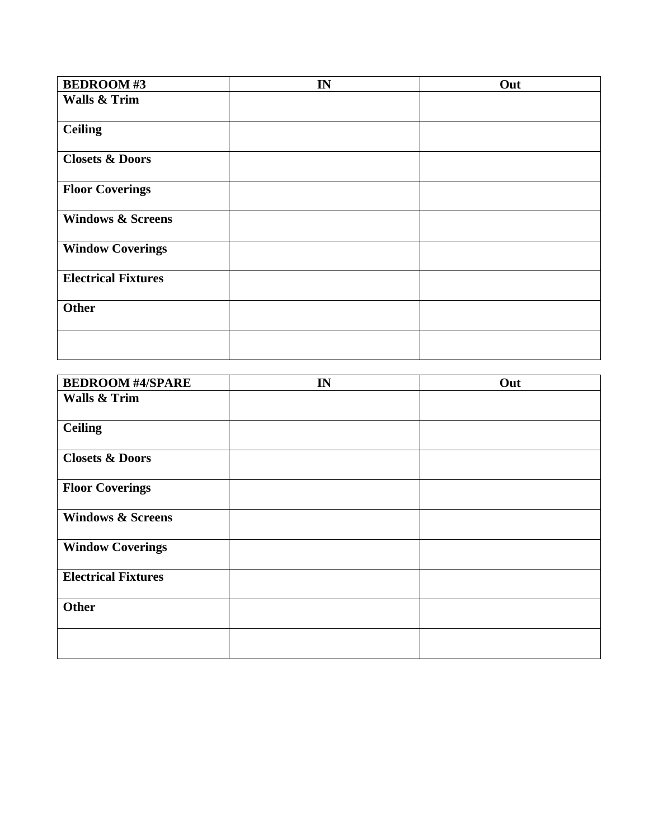| <b>BEDROOM#3</b>             | IN | Out |
|------------------------------|----|-----|
| <b>Walls &amp; Trim</b>      |    |     |
|                              |    |     |
| <b>Ceiling</b>               |    |     |
|                              |    |     |
| <b>Closets &amp; Doors</b>   |    |     |
| <b>Floor Coverings</b>       |    |     |
| <b>Windows &amp; Screens</b> |    |     |
| <b>Window Coverings</b>      |    |     |
| <b>Electrical Fixtures</b>   |    |     |
| <b>Other</b>                 |    |     |
|                              |    |     |

| <b>BEDROOM #4/SPARE</b>      | IN | Out |
|------------------------------|----|-----|
| <b>Walls &amp; Trim</b>      |    |     |
|                              |    |     |
| <b>Ceiling</b>               |    |     |
|                              |    |     |
| <b>Closets &amp; Doors</b>   |    |     |
| <b>Floor Coverings</b>       |    |     |
| <b>Windows &amp; Screens</b> |    |     |
| <b>Window Coverings</b>      |    |     |
| <b>Electrical Fixtures</b>   |    |     |
| <b>Other</b>                 |    |     |
|                              |    |     |